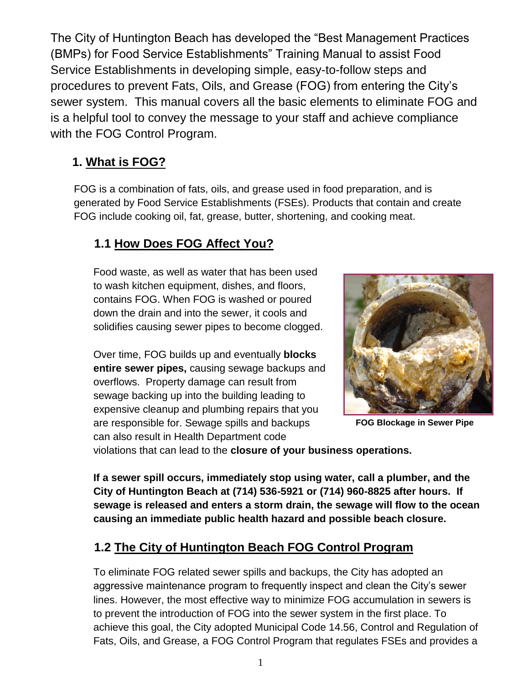The City of Huntington Beach has developed the "Best Management Practices (BMPs) for Food Service Establishments" Training Manual to assist Food Service Establishments in developing simple, easy-to-follow steps and procedures to prevent Fats, Oils, and Grease (FOG) from entering the City's sewer system. This manual covers all the basic elements to eliminate FOG and is a helpful tool to convey the message to your staff and achieve compliance with the FOG Control Program.

# **1. What is FOG?**

FOG is a combination of fats, oils, and grease used in food preparation, and is generated by Food Service Establishments (FSEs). Products that contain and create FOG include cooking oil, fat, grease, butter, shortening, and cooking meat.

# **1.1 How Does FOG Affect You?**

Food waste, as well as water that has been used to wash kitchen equipment, dishes, and floors, contains FOG. When FOG is washed or poured down the drain and into the sewer, it cools and solidifies causing sewer pipes to become clogged.

Over time, FOG builds up and eventually **blocks entire sewer pipes,** causing sewage backups and overflows. Property damage can result from sewage backing up into the building leading to expensive cleanup and plumbing repairs that you are responsible for. Sewage spills and backups can also result in Health Department code



**FOG Blockage in Sewer Pipe**

violations that can lead to the **closure of your business operations.**

**If a sewer spill occurs, immediately stop using water, call a plumber, and the City of Huntington Beach at (714) 536-5921 or (714) 960-8825 after hours. If sewage is released and enters a storm drain, the sewage will flow to the ocean causing an immediate public health hazard and possible beach closure.** 

# **1.2 The City of Huntington Beach FOG Control Program**

To eliminate FOG related sewer spills and backups, the City has adopted an aggressive maintenance program to frequently inspect and clean the City's sewer lines. However, the most effective way to minimize FOG accumulation in sewers is to prevent the introduction of FOG into the sewer system in the first place. To achieve this goal, the City adopted Municipal Code 14.56, Control and Regulation of Fats, Oils, and Grease, a FOG Control Program that regulates FSEs and provides a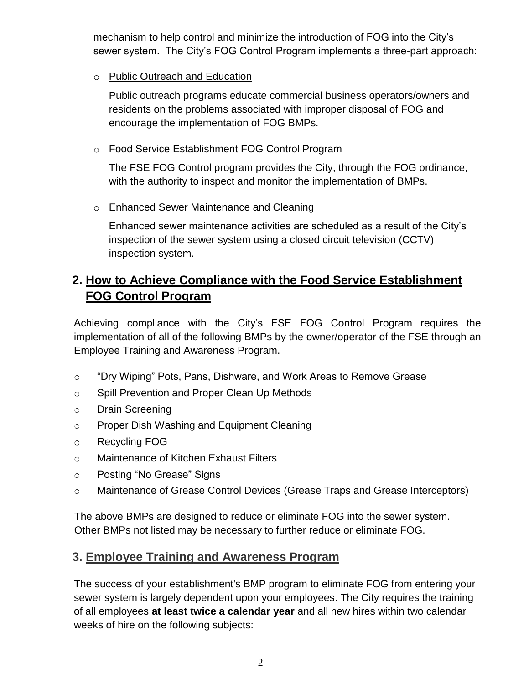mechanism to help control and minimize the introduction of FOG into the City's sewer system. The City's FOG Control Program implements a three-part approach:

o Public Outreach and Education

Public outreach programs educate commercial business operators/owners and residents on the problems associated with improper disposal of FOG and encourage the implementation of FOG BMPs.

o Food Service Establishment FOG Control Program

The FSE FOG Control program provides the City, through the FOG ordinance, with the authority to inspect and monitor the implementation of BMPs.

#### o Enhanced Sewer Maintenance and Cleaning

Enhanced sewer maintenance activities are scheduled as a result of the City's inspection of the sewer system using a closed circuit television (CCTV) inspection system.

## **2. How to Achieve Compliance with the Food Service Establishment FOG Control Program**

Achieving compliance with the City's FSE FOG Control Program requires the implementation of all of the following BMPs by the owner/operator of the FSE through an Employee Training and Awareness Program.

- o "Dry Wiping" Pots, Pans, Dishware, and Work Areas to Remove Grease
- o Spill Prevention and Proper Clean Up Methods
- o Drain Screening
- o Proper Dish Washing and Equipment Cleaning
- o Recycling FOG
- o Maintenance of Kitchen Exhaust Filters
- o Posting "No Grease" Signs
- o Maintenance of Grease Control Devices (Grease Traps and Grease Interceptors)

The above BMPs are designed to reduce or eliminate FOG into the sewer system. Other BMPs not listed may be necessary to further reduce or eliminate FOG.

#### **3. Employee Training and Awareness Program**

The success of your establishment's BMP program to eliminate FOG from entering your sewer system is largely dependent upon your employees. The City requires the training of all employees **at least twice a calendar year** and all new hires within two calendar weeks of hire on the following subjects: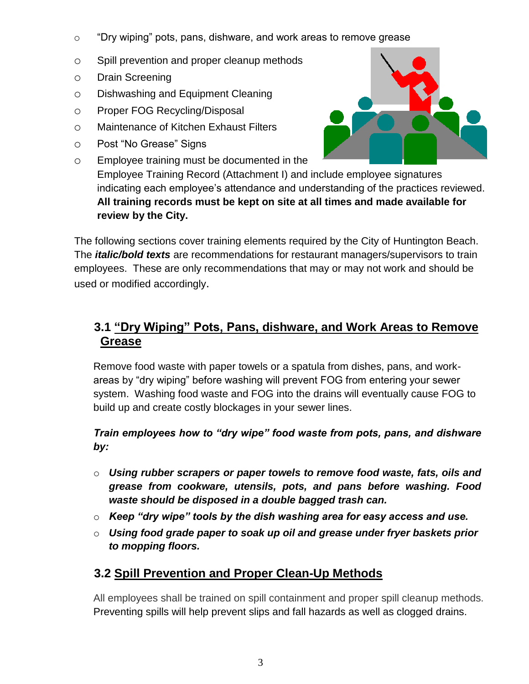- o "Dry wiping" pots, pans, dishware, and work areas to remove grease
- o Spill prevention and proper cleanup methods
- o Drain Screening
- o Dishwashing and Equipment Cleaning
- o Proper FOG Recycling/Disposal
- o Maintenance of Kitchen Exhaust Filters
- o Post "No Grease" Signs
- o Employee training must be documented in the Employee Training Record (Attachment I) and include employee signatures indicating each employee's attendance and understanding of the practices reviewed. **All training records must be kept on site at all times and made available for review by the City.**

The following sections cover training elements required by the City of Huntington Beach. The *italic/bold texts* are recommendations for restaurant managers/supervisors to train employees. These are only recommendations that may or may not work and should be used or modified accordingly.

# **3.1 "Dry Wiping" Pots, Pans, dishware, and Work Areas to Remove Grease**

Remove food waste with paper towels or a spatula from dishes, pans, and workareas by "dry wiping" before washing will prevent FOG from entering your sewer system. Washing food waste and FOG into the drains will eventually cause FOG to build up and create costly blockages in your sewer lines.

*Train employees how to "dry wipe" food waste from pots, pans, and dishware by:* 

- o *Using rubber scrapers or paper towels to remove food waste, fats, oils and grease from cookware, utensils, pots, and pans before washing. Food waste should be disposed in a double bagged trash can.*
- o *Keep "dry wipe" tools by the dish washing area for easy access and use.*
- o *Using food grade paper to soak up oil and grease under fryer baskets prior to mopping floors.*

# **3.2 Spill Prevention and Proper Clean-Up Methods**

All employees shall be trained on spill containment and proper spill cleanup methods. Preventing spills will help prevent slips and fall hazards as well as clogged drains.

3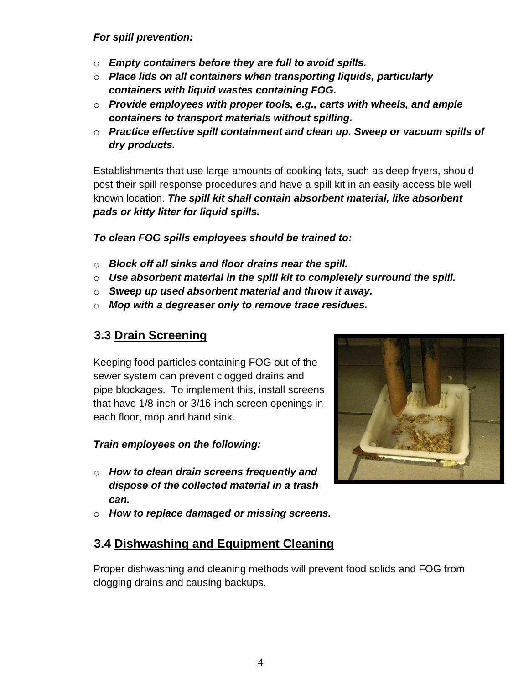#### *For spill prevention:*

- o *Empty containers before they are full to avoid spills.*
- o *Place lids on all containers when transporting liquids, particularly containers with liquid wastes containing FOG.*
- o *Provide employees with proper tools, e.g., carts with wheels, and ample containers to transport materials without spilling.*
- o *Practice effective spill containment and clean up. Sweep or vacuum spills of dry products.*

Establishments that use large amounts of cooking fats, such as deep fryers, should post their spill response procedures and have a spill kit in an easily accessible well known location. *The spill kit shall contain absorbent material, like absorbent pads or kitty litter for liquid spills.* 

*To clean FOG spills employees should be trained to:* 

- o *Block off all sinks and floor drains near the spill.*
- o *Use absorbent material in the spill kit to completely surround the spill.*
- o *Sweep up used absorbent material and throw it away.*
- o *Mop with a degreaser only to remove trace residues.*

## **3.3 Drain Screening**

Keeping food particles containing FOG out of the sewer system can prevent clogged drains and pipe blockages. To implement this, install screens that have 1/8-inch or 3/16-inch screen openings in each floor, mop and hand sink.

#### *Train employees on the following:*

- o *How to clean drain screens frequently and dispose of the collected material in a trash can.*
- o *How to replace damaged or missing screens.*

## **3.4 Dishwashing and Equipment Cleaning**

Proper dishwashing and cleaning methods will prevent food solids and FOG from clogging drains and causing backups.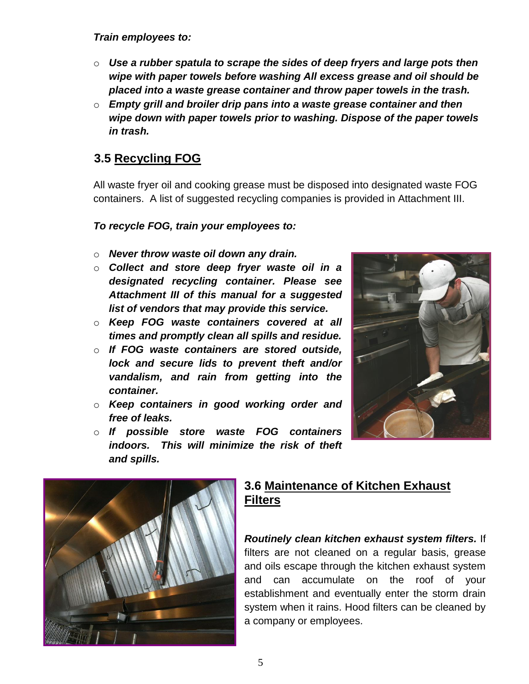*Train employees to:*

- o *Use a rubber spatula to scrape the sides of deep fryers and large pots then wipe with paper towels before washing All excess grease and oil should be placed into a waste grease container and throw paper towels in the trash.*
- o *Empty grill and broiler drip pans into a waste grease container and then wipe down with paper towels prior to washing. Dispose of the paper towels in trash.*

# **3.5 Recycling FOG**

All waste fryer oil and cooking grease must be disposed into designated waste FOG containers. A list of suggested recycling companies is provided in Attachment III.

#### *To recycle FOG, train your employees to:*

- o *Never throw waste oil down any drain.*
- o *Collect and store deep fryer waste oil in a designated recycling container. Please see Attachment III of this manual for a suggested list of vendors that may provide this service.*
- o *Keep FOG waste containers covered at all times and promptly clean all spills and residue.*
- o *If FOG waste containers are stored outside, lock and secure lids to prevent theft and/or vandalism, and rain from getting into the container.*
- o *Keep containers in good working order and free of leaks.*
- o *If possible store waste FOG containers indoors. This will minimize the risk of theft and spills.*





# **3.6 Maintenance of Kitchen Exhaust Filters**

*Routinely clean kitchen exhaust system filters.* If filters are not cleaned on a regular basis, grease and oils escape through the kitchen exhaust system and can accumulate on the roof of your establishment and eventually enter the storm drain system when it rains. Hood filters can be cleaned by a company or employees.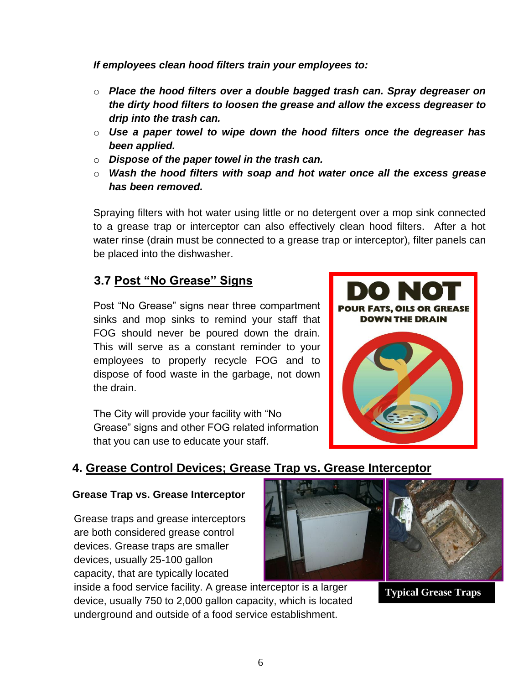*If employees clean hood filters train your employees to:*

- o *Place the hood filters over a double bagged trash can. Spray degreaser on the dirty hood filters to loosen the grease and allow the excess degreaser to drip into the trash can.*
- o *Use a paper towel to wipe down the hood filters once the degreaser has been applied.*
- o *Dispose of the paper towel in the trash can.*
- o *Wash the hood filters with soap and hot water once all the excess grease has been removed.*

Spraying filters with hot water using little or no detergent over a mop sink connected to a grease trap or interceptor can also effectively clean hood filters. After a hot water rinse (drain must be connected to a grease trap or interceptor), filter panels can be placed into the dishwasher.

## **3.7 Post "No Grease" Signs**

Post "No Grease" signs near three compartment sinks and mop sinks to remind your staff that FOG should never be poured down the drain. This will serve as a constant reminder to your employees to properly recycle FOG and to dispose of food waste in the garbage, not down the drain.

The City will provide your facility with "No Grease" signs and other FOG related information that you can use to educate your staff.



### **4. Grease Control Devices; Grease Trap vs. Grease Interceptor**

#### **Grease Trap vs. Grease Interceptor**

Grease traps and grease interceptors are both considered grease control devices. Grease traps are smaller devices, usually 25-100 gallon capacity, that are typically located

inside a food service facility. A grease interceptor is a larger device, usually 750 to 2,000 gallon capacity, which is located underground and outside of a food service establishment.



**Typical Grease Traps**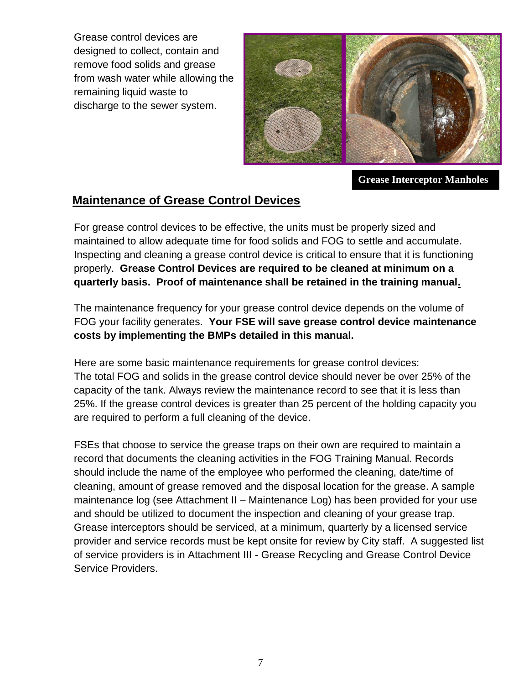Grease control devices are designed to collect, contain and remove food solids and grease from wash water while allowing the remaining liquid waste to discharge to the sewer system.



**Grease Interceptor Manholes**

### **Maintenance of Grease Control Devices**

For grease control devices to be effective, the units must be properly sized and maintained to allow adequate time for food solids and FOG to settle and accumulate. Inspecting and cleaning a grease control device is critical to ensure that it is functioning properly. **Grease Control Devices are required to be cleaned at minimum on a quarterly basis. Proof of maintenance shall be retained in the training manual.**

The maintenance frequency for your grease control device depends on the volume of FOG your facility generates. **Your FSE will save grease control device maintenance costs by implementing the BMPs detailed in this manual.** 

Here are some basic maintenance requirements for grease control devices: The total FOG and solids in the grease control device should never be over 25% of the capacity of the tank. Always review the maintenance record to see that it is less than 25%. If the grease control devices is greater than 25 percent of the holding capacity you are required to perform a full cleaning of the device.

FSEs that choose to service the grease traps on their own are required to maintain a record that documents the cleaning activities in the FOG Training Manual. Records should include the name of the employee who performed the cleaning, date/time of cleaning, amount of grease removed and the disposal location for the grease. A sample maintenance log (see Attachment II – Maintenance Log) has been provided for your use and should be utilized to document the inspection and cleaning of your grease trap. Grease interceptors should be serviced, at a minimum, quarterly by a licensed service provider and service records must be kept onsite for review by City staff. A suggested list of service providers is in Attachment III - Grease Recycling and Grease Control Device Service Providers.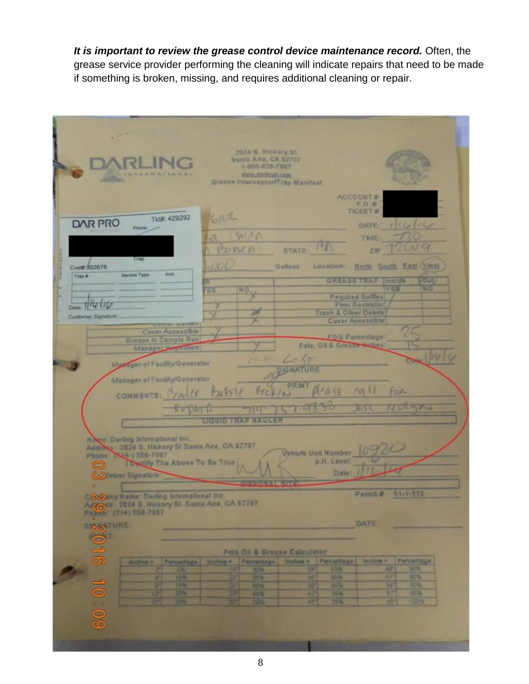*It is important to review the grease control device maintenance record.* Often, the grease service provider performing the cleaning will indicate repairs that need to be made if something is broken, missing, and requires additional cleaning or repair.

|                                                                                                                                                                                                                                                          | 2624 B. Hickory St.<br>Santa Ana, CA 92707<br>1-800-020-7867<br><b>TERRATIONAL</b><br>sport darlingti anni<br>Grease Interceptor/Trap Manifest |                    |                      |                                                     |                                                     |                           |                        |  |
|----------------------------------------------------------------------------------------------------------------------------------------------------------------------------------------------------------------------------------------------------------|------------------------------------------------------------------------------------------------------------------------------------------------|--------------------|----------------------|-----------------------------------------------------|-----------------------------------------------------|---------------------------|------------------------|--|
|                                                                                                                                                                                                                                                          | ACCOUNT #                                                                                                                                      |                    |                      |                                                     |                                                     |                           |                        |  |
|                                                                                                                                                                                                                                                          | Tkt#: 429292                                                                                                                                   | 6101               |                      |                                                     |                                                     | P.O.B.<br><b>TICKET #</b> |                        |  |
| <b>DAR PRO</b>                                                                                                                                                                                                                                           | Phone:                                                                                                                                         |                    |                      |                                                     |                                                     | <b>OATE:</b>              | 11614                  |  |
|                                                                                                                                                                                                                                                          |                                                                                                                                                | CU.                | MIA                  |                                                     |                                                     | <b>TIME</b>               | 2009                   |  |
|                                                                                                                                                                                                                                                          | Trap                                                                                                                                           | Panen              |                      | <b>STATE:</b>                                       |                                                     | ZIP.                      |                        |  |
| Cust# 302676<br>Trap #                                                                                                                                                                                                                                   | Ant:<br><b>Service Type</b>                                                                                                                    | 1000               |                      | Gallons                                             | Location:                                           |                           | North South East (Vest |  |
|                                                                                                                                                                                                                                                          |                                                                                                                                                | R<br><b>TES</b>    | EO                   |                                                     | <b><i>GREASS TRAP</i></b>                           | Inside<br>YER             | <b>JOUR</b><br>HO      |  |
| $D_{\text{max}}$ if the file                                                                                                                                                                                                                             | <b>Required Baffles</b><br><b>Flow Restrictor</b>                                                                                              |                    |                      |                                                     |                                                     |                           |                        |  |
| Customer Signature:                                                                                                                                                                                                                                      | <b>MENDENHOOD</b> ST                                                                                                                           |                    |                      |                                                     | <b>Trash &amp; Other Debris</b><br>Cover Accessible |                           |                        |  |
|                                                                                                                                                                                                                                                          | <b>Cover Accessible</b>                                                                                                                        |                    |                      |                                                     | FOG Percentage:                                     |                           |                        |  |
|                                                                                                                                                                                                                                                          | <b>Grease in Sumple Box</b><br>Manager bertholion                                                                                              |                    |                      |                                                     | Fals, Oil & Greate Mohes                            |                           |                        |  |
|                                                                                                                                                                                                                                                          | Manager of Focility/Generator                                                                                                                  |                    |                      | A Lobe<br><b>BIGNATURE</b>                          |                                                     |                           |                        |  |
| Manager of Facility/Generator                                                                                                                                                                                                                            |                                                                                                                                                |                    |                      |                                                     |                                                     |                           |                        |  |
| <b>PRINT</b><br>001<br>$1 - \alpha$<br><b>F2N-</b><br>$H_{4}F_{1}P_{2}$<br>COMMENTS: VWW<br>(N)                                                                                                                                                          |                                                                                                                                                |                    |                      |                                                     |                                                     |                           |                        |  |
| NOUTH<br>1655<br><b>REVAIL</b>                                                                                                                                                                                                                           |                                                                                                                                                |                    |                      |                                                     |                                                     |                           |                        |  |
|                                                                                                                                                                                                                                                          | <b>LIQUID TRAP HAULER</b>                                                                                                                      |                    |                      |                                                     |                                                     |                           |                        |  |
| Nege: Darling International Inc.<br>Address: 2024 S. Hickory St Santa Ana, CA 92707<br>Vehicle Unit Number<br>Phone: (K14-) 556-7887<br>p.H. Lovel:<br>Carlify The Above To Be True<br>$\bullet$<br>Date:<br>Coloriver Signature<br><b>NEUAE AT NOTE</b> |                                                                                                                                                |                    |                      |                                                     |                                                     |                           |                        |  |
|                                                                                                                                                                                                                                                          | CINGSny Name: Darling International Inc.                                                                                                       |                    |                      |                                                     |                                                     | Permit #                  | $51 - 1 - 378$         |  |
|                                                                                                                                                                                                                                                          | Arroya: 2024 S. Hickory St. Santa Ana, CA 92707<br>Phone: (714) 556-7887                                                                       |                    |                      |                                                     |                                                     |                           |                        |  |
| <b>INS URE</b>                                                                                                                                                                                                                                           |                                                                                                                                                |                    |                      |                                                     |                                                     | <b>DATE:</b>              |                        |  |
|                                                                                                                                                                                                                                                          |                                                                                                                                                |                    |                      |                                                     |                                                     |                           |                        |  |
| 2016 10:09                                                                                                                                                                                                                                               | <b>Inchess</b><br>Percentage                                                                                                                   | <b>Ust Final V</b> | Percentage           | <b>Fats Oil &amp; Greave Calculator</b><br>Inches # | Percentage                                          | Inches »                  | Perceilinge            |  |
|                                                                                                                                                                                                                                                          | a.<br><b>TON</b>                                                                                                                               |                    |                      |                                                     | 55%                                                 | 4                         | <b>INDS</b>            |  |
|                                                                                                                                                                                                                                                          | F<br>15%                                                                                                                                       | 22<br>M            | 30'N<br>30'N<br>40'N | 图                                                   | 可图<br>854                                           |                           | 55%<br>oota            |  |
|                                                                                                                                                                                                                                                          | na.<br>Ta<br>IS.                                                                                                                               | 30                 | 45%                  | 내가<br>351                                           | <b>TOM</b><br>75%                                   | 67*<br>$\overline{65}$    | 98%<br>100%            |  |
|                                                                                                                                                                                                                                                          |                                                                                                                                                |                    |                      |                                                     |                                                     |                           |                        |  |
|                                                                                                                                                                                                                                                          |                                                                                                                                                |                    |                      |                                                     |                                                     |                           |                        |  |
|                                                                                                                                                                                                                                                          |                                                                                                                                                |                    |                      |                                                     |                                                     |                           |                        |  |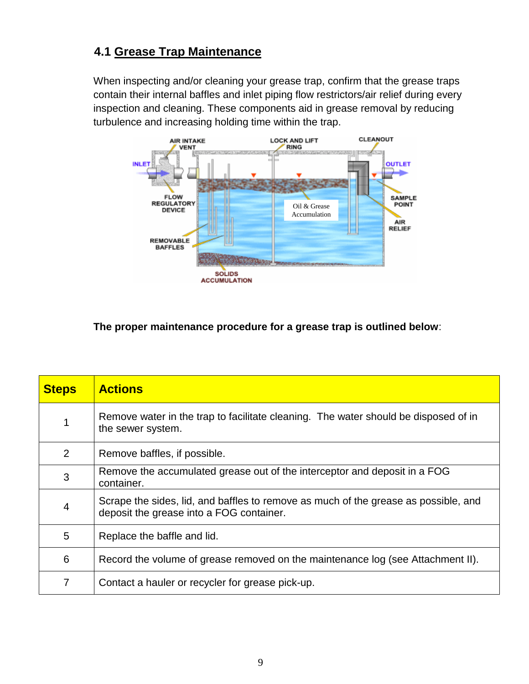# **4.1 Grease Trap Maintenance**

When inspecting and/or cleaning your grease trap, confirm that the grease traps contain their internal baffles and inlet piping flow restrictors/air relief during every inspection and cleaning. These components aid in grease removal by reducing turbulence and increasing holding time within the trap.



#### **The proper maintenance procedure for a grease trap is outlined below**:

| <b>Steps</b>   | <b>Actions</b>                                                                                                                  |
|----------------|---------------------------------------------------------------------------------------------------------------------------------|
| 1              | Remove water in the trap to facilitate cleaning. The water should be disposed of in<br>the sewer system.                        |
| 2              | Remove baffles, if possible.                                                                                                    |
| 3              | Remove the accumulated grease out of the interceptor and deposit in a FOG<br>container.                                         |
| $\overline{4}$ | Scrape the sides, lid, and baffles to remove as much of the grease as possible, and<br>deposit the grease into a FOG container. |
| 5              | Replace the baffle and lid.                                                                                                     |
| 6              | Record the volume of grease removed on the maintenance log (see Attachment II).                                                 |
| 7              | Contact a hauler or recycler for grease pick-up.                                                                                |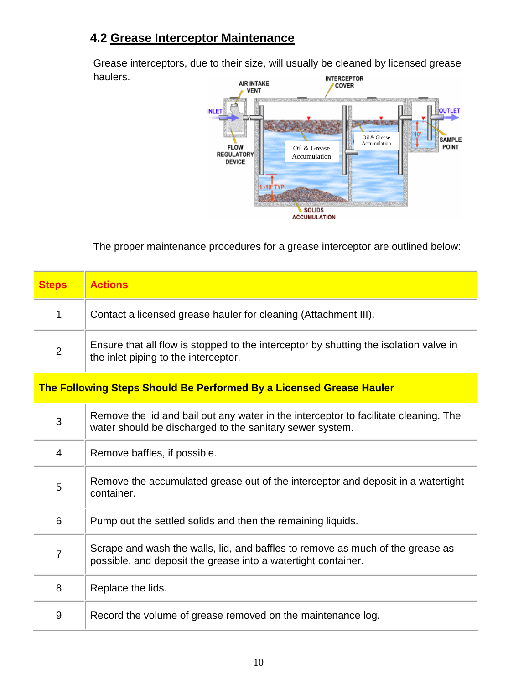## **4.2 Grease Interceptor Maintenance**

Grease interceptors, due to their size, will usually be cleaned by licensed grease haulers.



The proper maintenance procedures for a grease interceptor are outlined below:

| <b>Steps</b>   | <b>Actions</b>                                                                                                                                   |
|----------------|--------------------------------------------------------------------------------------------------------------------------------------------------|
| $\mathbf{1}$   | Contact a licensed grease hauler for cleaning (Attachment III).                                                                                  |
| $\overline{2}$ | Ensure that all flow is stopped to the interceptor by shutting the isolation valve in<br>the inlet piping to the interceptor.                    |
|                | The Following Steps Should Be Performed By a Licensed Grease Hauler                                                                              |
| 3              | Remove the lid and bail out any water in the interceptor to facilitate cleaning. The<br>water should be discharged to the sanitary sewer system. |
| $\overline{4}$ | Remove baffles, if possible.                                                                                                                     |
| 5              | Remove the accumulated grease out of the interceptor and deposit in a watertight<br>container.                                                   |
| 6              | Pump out the settled solids and then the remaining liquids.                                                                                      |
| $\overline{7}$ | Scrape and wash the walls, lid, and baffles to remove as much of the grease as<br>possible, and deposit the grease into a watertight container.  |
| 8              | Replace the lids.                                                                                                                                |
| 9              | Record the volume of grease removed on the maintenance log.                                                                                      |